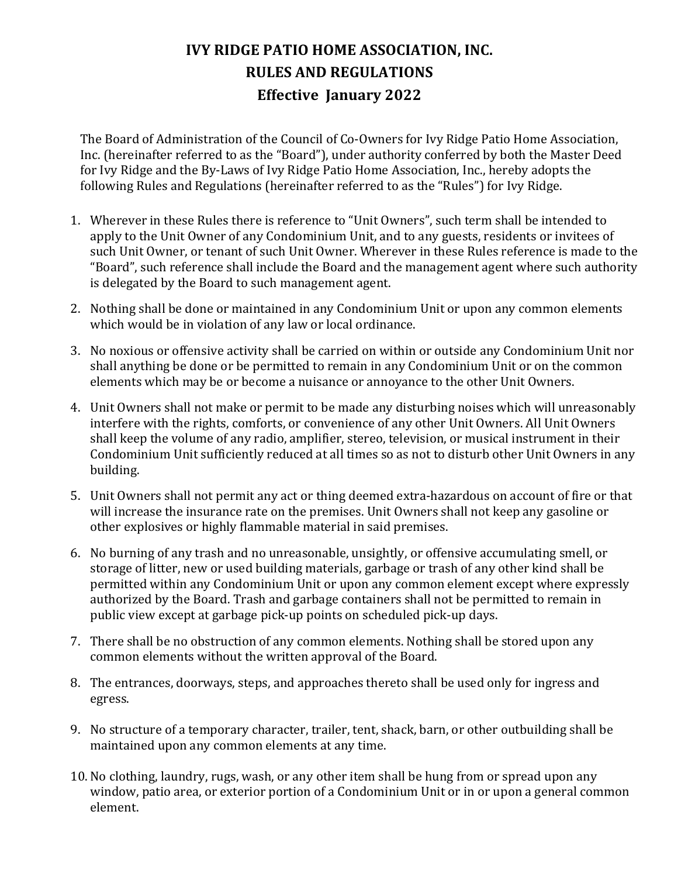## **IVY RIDGE PATIO HOME ASSOCIATION, INC. RULES AND REGULATIONS Effective January 2022**

The Board of Administration of the Council of Co-Owners for Ivy Ridge Patio Home Association, Inc. (hereinafter referred to as the "Board"), under authority conferred by both the Master Deed for Ivy Ridge and the By-Laws of Ivy Ridge Patio Home Association, Inc., hereby adopts the following Rules and Regulations (hereinafter referred to as the "Rules") for Ivy Ridge.

- 1. Wherever in these Rules there is reference to "Unit Owners", such term shall be intended to apply to the Unit Owner of any Condominium Unit, and to any guests, residents or invitees of such Unit Owner, or tenant of such Unit Owner. Wherever in these Rules reference is made to the "Board", such reference shall include the Board and the management agent where such authority is delegated by the Board to such management agent.
- 2. Nothing shall be done or maintained in any Condominium Unit or upon any common elements which would be in violation of any law or local ordinance.
- 3. No noxious or offensive activity shall be carried on within or outside any Condominium Unit nor shall anything be done or be permitted to remain in any Condominium Unit or on the common elements which may be or become a nuisance or annoyance to the other Unit Owners.
- 4. Unit Owners shall not make or permit to be made any disturbing noises which will unreasonably interfere with the rights, comforts, or convenience of any other Unit Owners. All Unit Owners shall keep the volume of any radio, amplifier, stereo, television, or musical instrument in their Condominium Unit sufficiently reduced at all times so as not to disturb other Unit Owners in any building.
- 5. Unit Owners shall not permit any act or thing deemed extra-hazardous on account of fire or that will increase the insurance rate on the premises. Unit Owners shall not keep any gasoline or other explosives or highly flammable material in said premises.
- 6. No burning of any trash and no unreasonable, unsightly, or offensive accumulating smell, or storage of litter, new or used building materials, garbage or trash of any other kind shall be permitted within any Condominium Unit or upon any common element except where expressly authorized by the Board. Trash and garbage containers shall not be permitted to remain in public view except at garbage pick-up points on scheduled pick-up days.
- 7. There shall be no obstruction of any common elements. Nothing shall be stored upon any common elements without the written approval of the Board.
- 8. The entrances, doorways, steps, and approaches thereto shall be used only for ingress and egress.
- 9. No structure of a temporary character, trailer, tent, shack, barn, or other outbuilding shall be maintained upon any common elements at any time.
- 10. No clothing, laundry, rugs, wash, or any other item shall be hung from or spread upon any window, patio area, or exterior portion of a Condominium Unit or in or upon a general common element.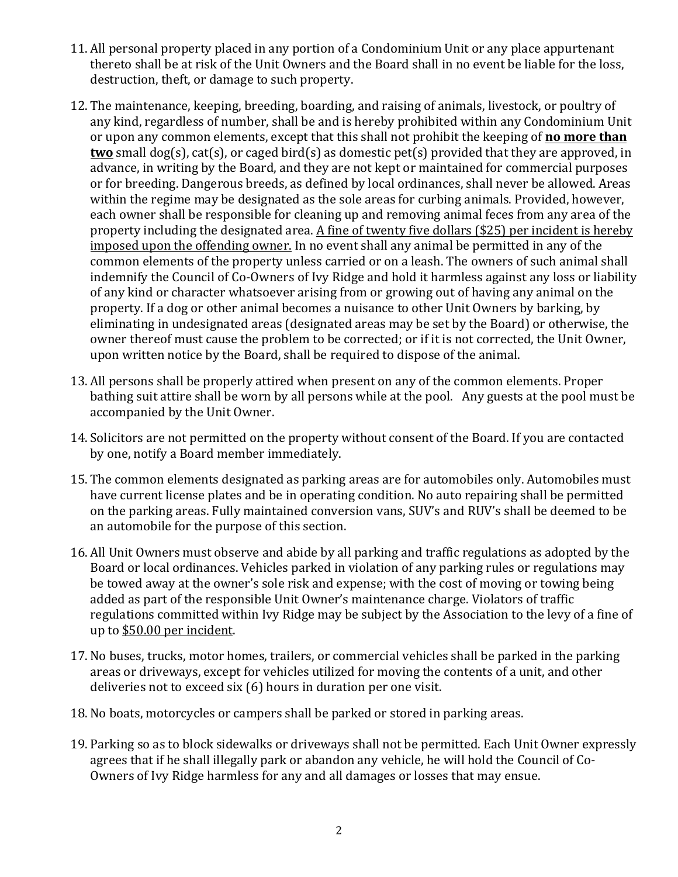- 11. All personal property placed in any portion of a Condominium Unit or any place appurtenant thereto shall be at risk of the Unit Owners and the Board shall in no event be liable for the loss, destruction, theft, or damage to such property.
- 12. The maintenance, keeping, breeding, boarding, and raising of animals, livestock, or poultry of any kind, regardless of number, shall be and is hereby prohibited within any Condominium Unit or upon any common elements, except that this shall not prohibit the keeping of **no more than two** small dog(s), cat(s), or caged bird(s) as domestic pet(s) provided that they are approved, in advance, in writing by the Board, and they are not kept or maintained for commercial purposes or for breeding. Dangerous breeds, as defined by local ordinances, shall never be allowed. Areas within the regime may be designated as the sole areas for curbing animals. Provided, however, each owner shall be responsible for cleaning up and removing animal feces from any area of the property including the designated area. A fine of twenty five dollars (\$25) per incident is hereby imposed upon the offending owner. In no event shall any animal be permitted in any of the common elements of the property unless carried or on a leash. The owners of such animal shall indemnify the Council of Co-Owners of Ivy Ridge and hold it harmless against any loss or liability of any kind or character whatsoever arising from or growing out of having any animal on the property. If a dog or other animal becomes a nuisance to other Unit Owners by barking, by eliminating in undesignated areas (designated areas may be set by the Board) or otherwise, the owner thereof must cause the problem to be corrected; or if it is not corrected, the Unit Owner, upon written notice by the Board, shall be required to dispose of the animal.
- 13. All persons shall be properly attired when present on any of the common elements. Proper bathing suit attire shall be worn by all persons while at the pool. Any guests at the pool must be accompanied by the Unit Owner.
- 14. Solicitors are not permitted on the property without consent of the Board. If you are contacted by one, notify a Board member immediately.
- 15. The common elements designated as parking areas are for automobiles only. Automobiles must have current license plates and be in operating condition. No auto repairing shall be permitted on the parking areas. Fully maintained conversion vans, SUV's and RUV's shall be deemed to be an automobile for the purpose of this section.
- 16. All Unit Owners must observe and abide by all parking and traffic regulations as adopted by the Board or local ordinances. Vehicles parked in violation of any parking rules or regulations may be towed away at the owner's sole risk and expense; with the cost of moving or towing being added as part of the responsible Unit Owner's maintenance charge. Violators of traffic regulations committed within Ivy Ridge may be subject by the Association to the levy of a fine of up to \$50.00 per incident.
- 17. No buses, trucks, motor homes, trailers, or commercial vehicles shall be parked in the parking areas or driveways, except for vehicles utilized for moving the contents of a unit, and other deliveries not to exceed  $\sin(6)$  hours in duration per one visit.
- 18. No boats, motorcycles or campers shall be parked or stored in parking areas.
- 19. Parking so as to block sidewalks or driveways shall not be permitted. Each Unit Owner expressly agrees that if he shall illegally park or abandon any vehicle, he will hold the Council of Co-Owners of Ivy Ridge harmless for any and all damages or losses that may ensue.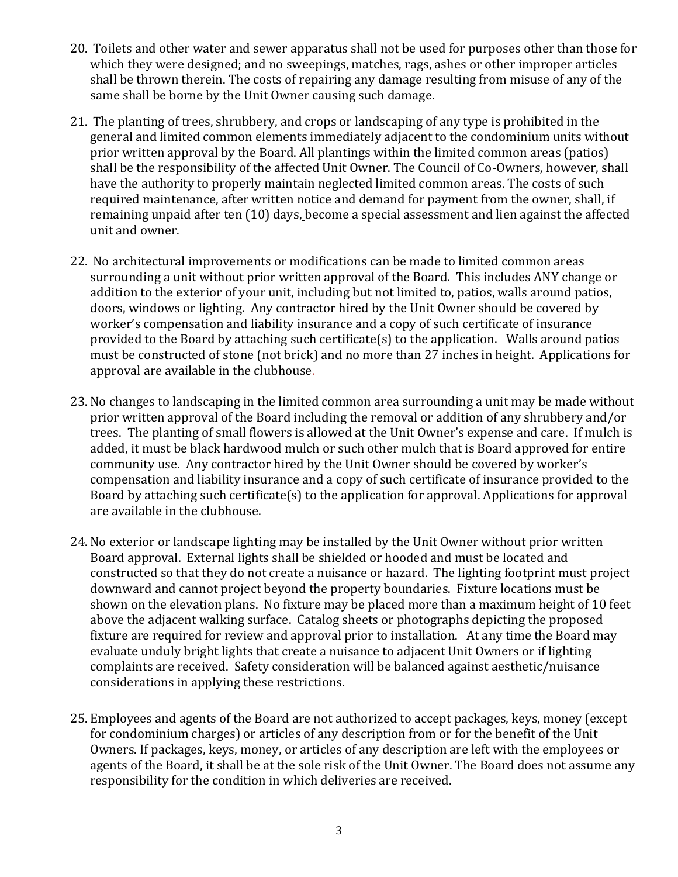- 20. Toilets and other water and sewer apparatus shall not be used for purposes other than those for which they were designed; and no sweepings, matches, rags, ashes or other improper articles shall be thrown therein. The costs of repairing any damage resulting from misuse of any of the same shall be borne by the Unit Owner causing such damage.
- 21. The planting of trees, shrubbery, and crops or landscaping of any type is prohibited in the general and limited common elements immediately adjacent to the condominium units without prior written approval by the Board. All plantings within the limited common areas (patios) shall be the responsibility of the affected Unit Owner. The Council of Co-Owners, however, shall have the authority to properly maintain neglected limited common areas. The costs of such required maintenance, after written notice and demand for payment from the owner, shall, if remaining unpaid after ten (10) days, become a special assessment and lien against the affected unit and owner.
- 22. No architectural improvements or modifications can be made to limited common areas surrounding a unit without prior written approval of the Board. This includes ANY change or addition to the exterior of your unit, including but not limited to, patios, walls around patios, doors, windows or lighting. Any contractor hired by the Unit Owner should be covered by worker's compensation and liability insurance and a copy of such certificate of insurance provided to the Board by attaching such certificate(s) to the application. Walls around patios must be constructed of stone (not brick) and no more than 27 inches in height. Applications for approval are available in the clubhouse.
- 23. No changes to landscaping in the limited common area surrounding a unit may be made without prior written approval of the Board including the removal or addition of any shrubbery and/or trees. The planting of small flowers is allowed at the Unit Owner's expense and care. If mulch is added, it must be black hardwood mulch or such other mulch that is Board approved for entire community use. Any contractor hired by the Unit Owner should be covered by worker's compensation and liability insurance and a copy of such certificate of insurance provided to the Board by attaching such certificate(s) to the application for approval. Applications for approval are available in the clubhouse.
- 24. No exterior or landscape lighting may be installed by the Unit Owner without prior written Board approval. External lights shall be shielded or hooded and must be located and constructed so that they do not create a nuisance or hazard. The lighting footprint must project downward and cannot project beyond the property boundaries. Fixture locations must be shown on the elevation plans. No fixture may be placed more than a maximum height of 10 feet above the adjacent walking surface. Catalog sheets or photographs depicting the proposed fixture are required for review and approval prior to installation. At any time the Board may evaluate unduly bright lights that create a nuisance to adjacent Unit Owners or if lighting complaints are received. Safety consideration will be balanced against aesthetic/nuisance considerations in applying these restrictions.
- 25. Employees and agents of the Board are not authorized to accept packages, keys, money (except for condominium charges) or articles of any description from or for the benefit of the Unit Owners. If packages, keys, money, or articles of any description are left with the employees or agents of the Board, it shall be at the sole risk of the Unit Owner. The Board does not assume any responsibility for the condition in which deliveries are received.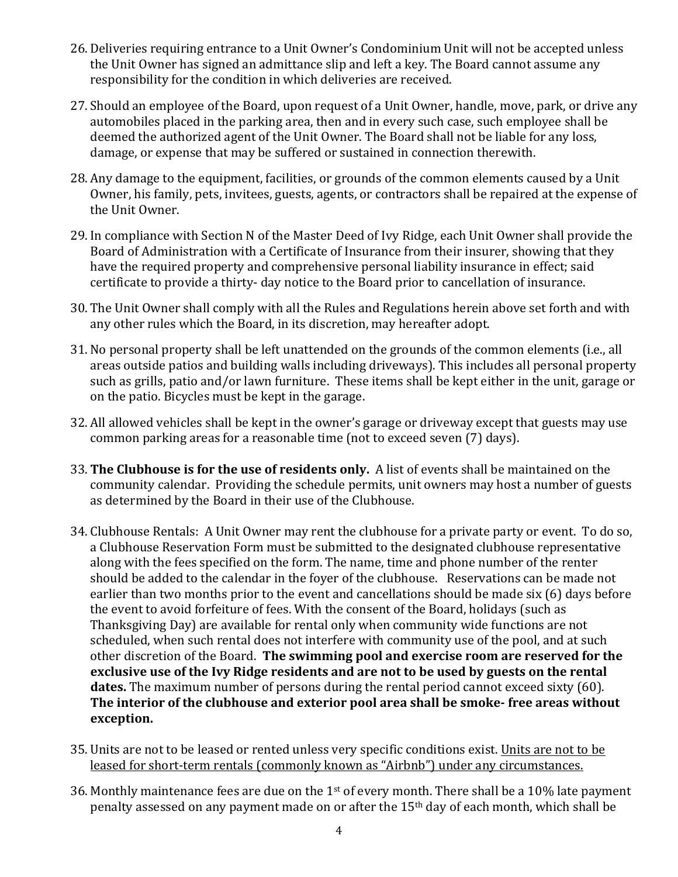- 26. Deliveries requiring entrance to a Unit Owner's Condominium Unit will not be accepted unless the Unit Owner has signed an admittance slip and left a key. The Board cannot assume any responsibility for the condition in which deliveries are received.
- 27. Should an employee of the Board, upon request of a Unit Owner, handle, move, park, or drive any automobiles placed in the parking area, then and in every such case, such employee shall be deemed the authorized agent of the Unit Owner. The Board shall not be liable for any loss, damage, or expense that may be suffered or sustained in connection therewith.
- 28. Any damage to the equipment, facilities, or grounds of the common elements caused by a Unit Owner, his family, pets, invitees, guests, agents, or contractors shall be repaired at the expense of the Unit Owner.
- 29. In compliance with Section N of the Master Deed of Ivy Ridge, each Unit Owner shall provide the Board of Administration with a Certificate of Insurance from their insurer, showing that they have the required property and comprehensive personal liability insurance in effect; said certificate to provide a thirty- day notice to the Board prior to cancellation of insurance.
- 30. The Unit Owner shall comply with all the Rules and Regulations herein above set forth and with any other rules which the Board, in its discretion, may hereafter adopt.
- 31. No personal property shall be left unattended on the grounds of the common elements (i.e., all areas outside patios and building walls including driveways). This includes all personal property such as grills, patio and/or lawn furniture. These items shall be kept either in the unit, garage or on the patio. Bicycles must be kept in the garage.
- 32. All allowed vehicles shall be kept in the owner's garage or driveway except that guests may use common parking areas for a reasonable time (not to exceed seven (7) days).
- 33. The Clubhouse is for the use of residents only. A list of events shall be maintained on the community calendar. Providing the schedule permits, unit owners may host a number of guests as determined by the Board in their use of the Clubhouse.
- 34. Clubhouse Rentals: A Unit Owner may rent the clubhouse for a private party or event. To do so, a Clubhouse Reservation Form must be submitted to the designated clubhouse representative along with the fees specified on the form. The name, time and phone number of the renter should be added to the calendar in the foyer of the clubhouse. Reservations can be made not earlier than two months prior to the event and cancellations should be made six (6) days before the event to avoid forfeiture of fees. With the consent of the Board, holidays (such as Thanksgiving Day) are available for rental only when community wide functions are not scheduled, when such rental does not interfere with community use of the pool, and at such other discretion of the Board. **The swimming pool and exercise room are reserved for the** exclusive use of the Ivy Ridge residents and are not to be used by guests on the rental **dates.** The maximum number of persons during the rental period cannot exceed sixty (60). The interior of the clubhouse and exterior pool area shall be smoke- free areas without **exception.**
- 35. Units are not to be leased or rented unless very specific conditions exist. Units are not to be leased for short-term rentals (commonly known as "Airbnb") under any circumstances.
- 36. Monthly maintenance fees are due on the  $1<sup>st</sup>$  of every month. There shall be a 10% late payment penalty assessed on any payment made on or after the  $15<sup>th</sup>$  day of each month, which shall be